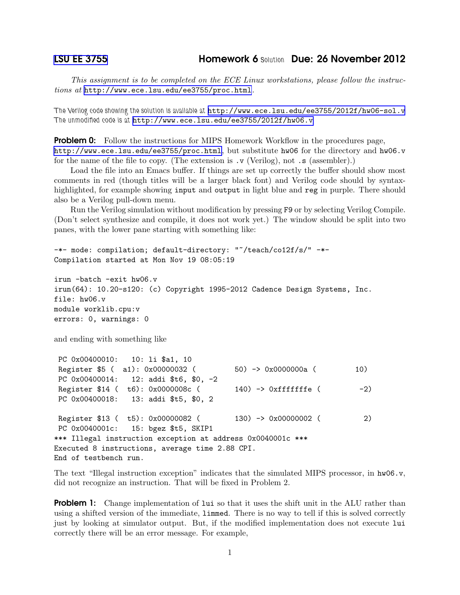*This assignment is to be completed on the ECE Linux workstations, please follow the instructions at* <http://www.ece.lsu.edu/ee3755/proc.html>*.*

*The Verilog code showing the solution is available at* <http://www.ece.lsu.edu/ee3755/2012f/hw06-sol.v> *The unmodified code is at* <http://www.ece.lsu.edu/ee3755/2012f/hw06.v>

**Problem 0:** Follow the instructions for MIPS Homework Workflow in the procedures page, <http://www.ece.lsu.edu/ee3755/proc.html>, but substitute hw06 for the directory and hw06.v for the name of the file to copy. (The extension is  $\cdot \mathbf{v}$  (Verilog), not  $\cdot \mathbf{s}$  (assembler).)

Load the file into an Emacs buffer. If things are set up correctly the buffer should show most comments in red (though titles will be a larger black font) and Verilog code should by syntaxhighlighted, for example showing input and output in light blue and reg in purple. There should also be a Verilog pull-down menu.

Run the Verilog simulation without modification by pressing F9 or by selecting Verilog Compile. (Don't select synthesize and compile, it does not work yet.) The window should be split into two panes, with the lower pane starting with something like:

```
-*- mode: compilation; default-directory: "~/teach/co12f/s/" -*-
Compilation started at Mon Nov 19 08:05:19
```

```
irun -batch -exit hw06.v
irun(64): 10.20-s120: (c) Copyright 1995-2012 Cadence Design Systems, Inc.
file: hw06.v
module worklib.cpu:v
errors: 0, warnings: 0
```
and ending with something like

```
PC 0x00400010: 10: li $a1, 10
Register $5 ( a1): 0x00000032 ( 50) -> 0x0000000a ( 10)
PC 0x00400014: 12: addi $t6, $0, -2
Register $14 ( t6): 0x0000008c ( 140) -> 0xfffffffe ( -2)
PC 0x00400018: 13: addi $t5, $0, 2
Register $13 ( t5): 0x00000082 ( 130) -> 0x00000002 ( 2)
PC 0x0040001c: 15: bgez $t5, SKIP1
*** Illegal instruction exception at address 0x0040001c ***
Executed 8 instructions, average time 2.88 CPI.
End of testbench run.
```
The text "Illegal instruction exception" indicates that the simulated MIPS processor, in hw06.v, did not recognize an instruction. That will be fixed in Problem 2.

**Problem 1:** Change implementation of lui so that it uses the shift unit in the ALU rather than using a shifted version of the immediate, limmed. There is no way to tell if this is solved correctly just by looking at simulator output. But, if the modified implementation does not execute lui correctly there will be an error message. For example,